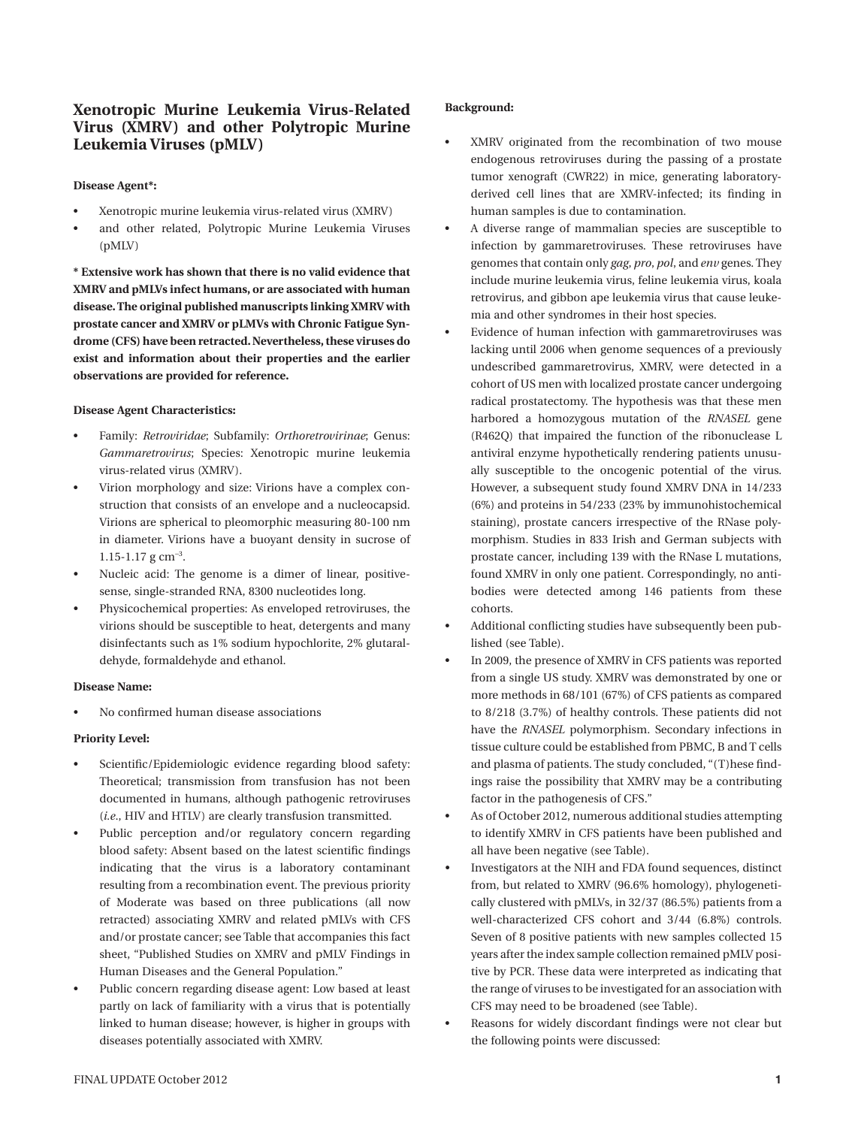# **Xenotropic Murine Leukemia Virus-Related Virus (XMRV) and other Polytropic Murine Leukemia Viruses (pMLV)**

### **Disease Agent\*:**

- Xenotropic murine leukemia virus-related virus (XMRV)
- and other related, Polytropic Murine Leukemia Viruses (pMLV)

**\* Extensive work has shown that there is no valid evidence that XMRV and pMLVs infect humans, or are associated with human disease. The original published manuscripts linking XMRV with prostate cancer and XMRV or pLMVs with Chronic Fatigue Syndrome (CFS) have been retracted. Nevertheless, these viruses do exist and information about their properties and the earlier observations are provided for reference.**

# **Disease Agent Characteristics:**

- Family: *Retroviridae*; Subfamily: *Orthoretrovirinae*; Genus: *Gammaretrovirus*; Species: Xenotropic murine leukemia virus-related virus (XMRV).
- Virion morphology and size: Virions have a complex construction that consists of an envelope and a nucleocapsid. Virions are spherical to pleomorphic measuring 80-100 nm in diameter. Virions have a buoyant density in sucrose of  $1.15 - 1.17$  g cm<sup>-3</sup>.
- Nucleic acid: The genome is a dimer of linear, positivesense, single-stranded RNA, 8300 nucleotides long.
- Physicochemical properties: As enveloped retroviruses, the virions should be susceptible to heat, detergents and many disinfectants such as 1% sodium hypochlorite, 2% glutaraldehyde, formaldehyde and ethanol.

#### **Disease Name:**

No confirmed human disease associations

# **Priority Level:**

- Scientific/Epidemiologic evidence regarding blood safety: Theoretical; transmission from transfusion has not been documented in humans, although pathogenic retroviruses (*i.e*., HIV and HTLV) are clearly transfusion transmitted.
- Public perception and/or regulatory concern regarding blood safety: Absent based on the latest scientific findings indicating that the virus is a laboratory contaminant resulting from a recombination event. The previous priority of Moderate was based on three publications (all now retracted) associating XMRV and related pMLVs with CFS and/or prostate cancer; see Table that accompanies this fact sheet, "Published Studies on XMRV and pMLV Findings in Human Diseases and the General Population."
- Public concern regarding disease agent: Low based at least partly on lack of familiarity with a virus that is potentially linked to human disease; however, is higher in groups with diseases potentially associated with XMRV.

### **Background:**

- XMRV originated from the recombination of two mouse endogenous retroviruses during the passing of a prostate tumor xenograft (CWR22) in mice, generating laboratoryderived cell lines that are XMRV-infected; its finding in human samples is due to contamination.
- A diverse range of mammalian species are susceptible to infection by gammaretroviruses. These retroviruses have genomes that contain only *gag*, *pro*, *pol*, and *env* genes. They include murine leukemia virus, feline leukemia virus, koala retrovirus, and gibbon ape leukemia virus that cause leukemia and other syndromes in their host species.
- Evidence of human infection with gammaretroviruses was lacking until 2006 when genome sequences of a previously undescribed gammaretrovirus, XMRV, were detected in a cohort of US men with localized prostate cancer undergoing radical prostatectomy. The hypothesis was that these men harbored a homozygous mutation of the *RNASEL* gene (R462Q) that impaired the function of the ribonuclease L antiviral enzyme hypothetically rendering patients unusually susceptible to the oncogenic potential of the virus. However, a subsequent study found XMRV DNA in 14/233 (6%) and proteins in 54/233 (23% by immunohistochemical staining), prostate cancers irrespective of the RNase polymorphism. Studies in 833 Irish and German subjects with prostate cancer, including 139 with the RNase L mutations, found XMRV in only one patient. Correspondingly, no antibodies were detected among 146 patients from these cohorts.
- Additional conflicting studies have subsequently been published (see Table).
- In 2009, the presence of XMRV in CFS patients was reported from a single US study. XMRV was demonstrated by one or more methods in 68/101 (67%) of CFS patients as compared to 8/218 (3.7%) of healthy controls. These patients did not have the *RNASEL* polymorphism. Secondary infections in tissue culture could be established from PBMC, B and T cells and plasma of patients. The study concluded, "(T)hese findings raise the possibility that XMRV may be a contributing factor in the pathogenesis of CFS."
- As of October 2012, numerous additional studies attempting to identify XMRV in CFS patients have been published and all have been negative (see Table).
- Investigators at the NIH and FDA found sequences, distinct from, but related to XMRV (96.6% homology), phylogenetically clustered with pMLVs, in 32/37 (86.5%) patients from a well-characterized CFS cohort and 3/44 (6.8%) controls. Seven of 8 positive patients with new samples collected 15 years after the index sample collection remained pMLV positive by PCR. These data were interpreted as indicating that the range of viruses to be investigated for an association with CFS may need to be broadened (see Table).
- Reasons for widely discordant findings were not clear but the following points were discussed: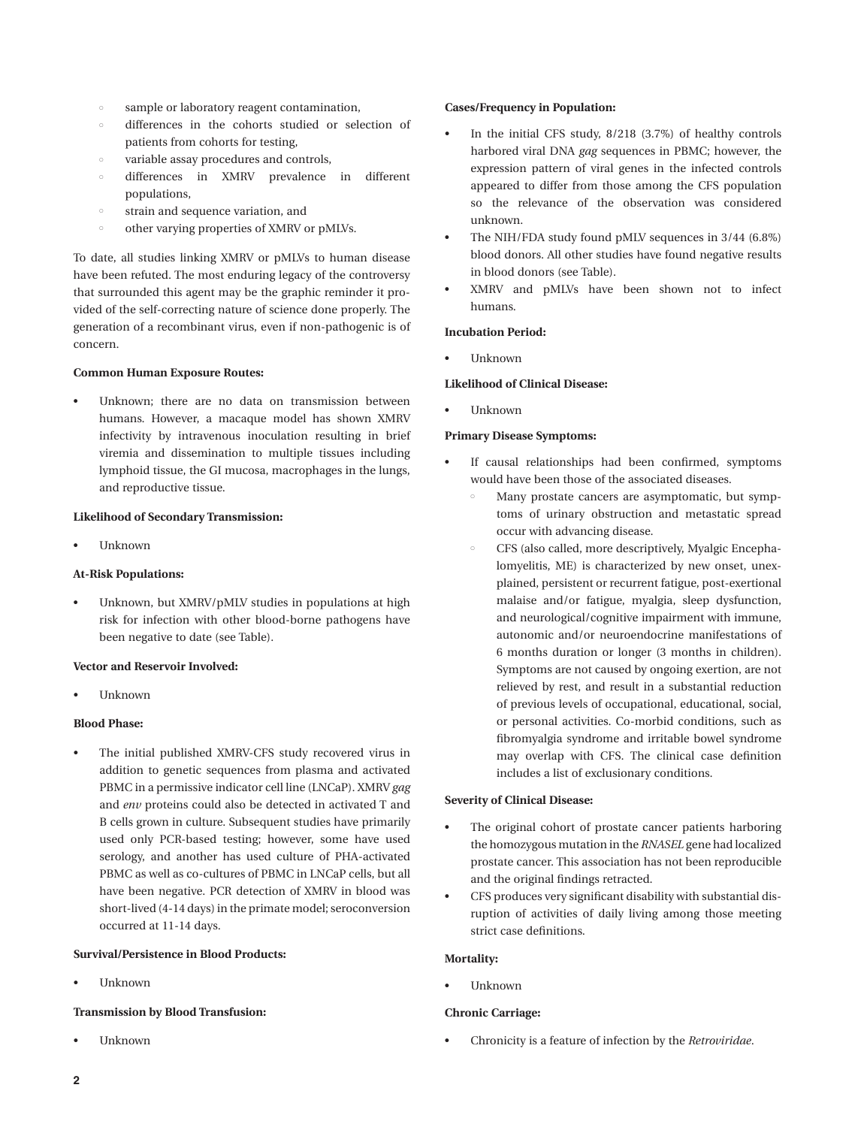- sample or laboratory reagent contamination,
- differences in the cohorts studied or selection of patients from cohorts for testing,
- variable assay procedures and controls,
- differences in XMRV prevalence in different populations,
- strain and sequence variation, and
- other varying properties of XMRV or pMLVs.

To date, all studies linking XMRV or pMLVs to human disease have been refuted. The most enduring legacy of the controversy that surrounded this agent may be the graphic reminder it provided of the self-correcting nature of science done properly. The generation of a recombinant virus, even if non-pathogenic is of concern.

#### **Common Human Exposure Routes:**

Unknown; there are no data on transmission between humans. However, a macaque model has shown XMRV infectivity by intravenous inoculation resulting in brief viremia and dissemination to multiple tissues including lymphoid tissue, the GI mucosa, macrophages in the lungs, and reproductive tissue.

#### **Likelihood of Secondary Transmission:**

**Unknown** 

# **At-Risk Populations:**

Unknown, but XMRV/pMLV studies in populations at high risk for infection with other blood-borne pathogens have been negative to date (see Table).

### **Vector and Reservoir Involved:**

**Unknown** 

### **Blood Phase:**

The initial published XMRV-CFS study recovered virus in addition to genetic sequences from plasma and activated PBMC in a permissive indicator cell line (LNCaP). XMRV *gag* and *env* proteins could also be detected in activated T and B cells grown in culture. Subsequent studies have primarily used only PCR-based testing; however, some have used serology, and another has used culture of PHA-activated PBMC as well as co-cultures of PBMC in LNCaP cells, but all have been negative. PCR detection of XMRV in blood was short-lived (4-14 days) in the primate model; seroconversion occurred at 11-14 days.

### **Survival/Persistence in Blood Products:**

• Unknown

### **Transmission by Blood Transfusion:**

**Unknown** 

### **Cases/Frequency in Population:**

- In the initial CFS study,  $8/218$  (3.7%) of healthy controls harbored viral DNA *gag* sequences in PBMC; however, the expression pattern of viral genes in the infected controls appeared to differ from those among the CFS population so the relevance of the observation was considered unknown.
- The NIH/FDA study found pMLV sequences in 3/44 (6.8%) blood donors. All other studies have found negative results in blood donors (see Table).
- XMRV and pMLVs have been shown not to infect humans.

### **Incubation Period:**

• Unknown

# **Likelihood of Clinical Disease:**

**Unknown** 

### **Primary Disease Symptoms:**

- If causal relationships had been confirmed, symptoms would have been those of the associated diseases.
	- Many prostate cancers are asymptomatic, but symptoms of urinary obstruction and metastatic spread occur with advancing disease.
	- CFS (also called, more descriptively, Myalgic Encephalomyelitis, ME) is characterized by new onset, unexplained, persistent or recurrent fatigue, post-exertional malaise and/or fatigue, myalgia, sleep dysfunction, and neurological/cognitive impairment with immune, autonomic and/or neuroendocrine manifestations of 6 months duration or longer (3 months in children). Symptoms are not caused by ongoing exertion, are not relieved by rest, and result in a substantial reduction of previous levels of occupational, educational, social, or personal activities. Co-morbid conditions, such as fibromyalgia syndrome and irritable bowel syndrome may overlap with CFS. The clinical case definition includes a list of exclusionary conditions.

#### **Severity of Clinical Disease:**

- The original cohort of prostate cancer patients harboring the homozygous mutation in the *RNASEL* gene had localized prostate cancer. This association has not been reproducible and the original findings retracted.
- CFS produces very significant disability with substantial disruption of activities of daily living among those meeting strict case definitions.

#### **Mortality:**

• Unknown

#### **Chronic Carriage:**

Chronicity is a feature of infection by the *Retroviridae*.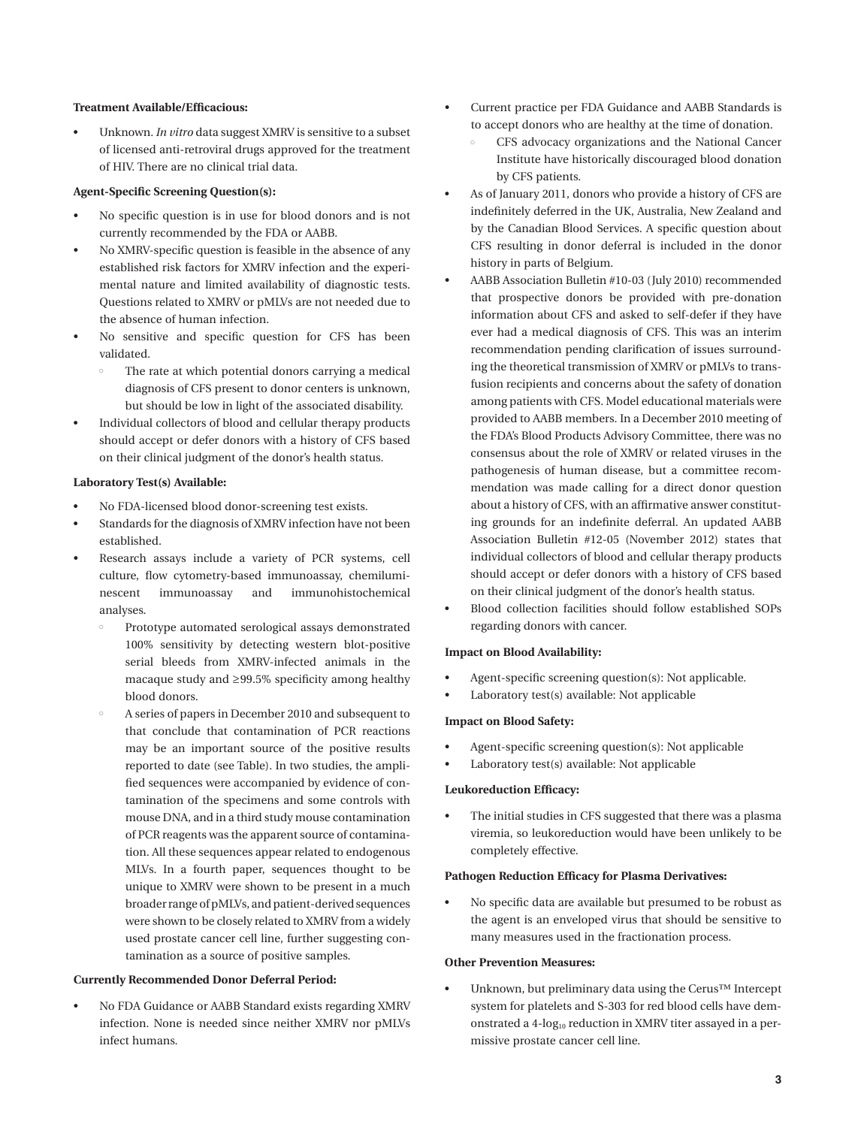#### **Treatment Available/Efficacious:**

Unknown. *In vitro* data suggest XMRV is sensitive to a subset of licensed anti-retroviral drugs approved for the treatment of HIV. There are no clinical trial data.

#### **Agent-Specific Screening Question(s):**

- No specific question is in use for blood donors and is not currently recommended by the FDA or AABB.
- No XMRV-specific question is feasible in the absence of any established risk factors for XMRV infection and the experimental nature and limited availability of diagnostic tests. Questions related to XMRV or pMLVs are not needed due to the absence of human infection.
- No sensitive and specific question for CFS has been validated.
	- The rate at which potential donors carrying a medical diagnosis of CFS present to donor centers is unknown, but should be low in light of the associated disability.
- Individual collectors of blood and cellular therapy products should accept or defer donors with a history of CFS based on their clinical judgment of the donor's health status.

#### **Laboratory Test(s) Available:**

- No FDA-licensed blood donor-screening test exists.
- Standards for the diagnosis of XMRV infection have not been established.
- Research assays include a variety of PCR systems, cell culture, flow cytometry-based immunoassay, chemiluminescent immunoassay and immunohistochemical analyses.
	- Prototype automated serological assays demonstrated 100% sensitivity by detecting western blot-positive serial bleeds from XMRV-infected animals in the macaque study and ≥99.5% specificity among healthy blood donors.
	- A series of papers in December 2010 and subsequent to that conclude that contamination of PCR reactions may be an important source of the positive results reported to date (see Table). In two studies, the amplified sequences were accompanied by evidence of contamination of the specimens and some controls with mouse DNA, and in a third study mouse contamination of PCR reagents was the apparent source of contamination. All these sequences appear related to endogenous MLVs. In a fourth paper, sequences thought to be unique to XMRV were shown to be present in a much broader range of pMLVs, and patient-derived sequences were shown to be closely related to XMRV from a widely used prostate cancer cell line, further suggesting contamination as a source of positive samples.

#### **Currently Recommended Donor Deferral Period:**

No FDA Guidance or AABB Standard exists regarding XMRV infection. None is needed since neither XMRV nor pMLVs infect humans.

- Current practice per FDA Guidance and AABB Standards is to accept donors who are healthy at the time of donation.
	- CFS advocacy organizations and the National Cancer Institute have historically discouraged blood donation by CFS patients.
- • As of January 2011, donors who provide a history of CFS are indefinitely deferred in the UK, Australia, New Zealand and by the Canadian Blood Services. A specific question about CFS resulting in donor deferral is included in the donor history in parts of Belgium.
- AABB Association Bulletin #10-03 (July 2010) recommended that prospective donors be provided with pre-donation information about CFS and asked to self-defer if they have ever had a medical diagnosis of CFS. This was an interim recommendation pending clarification of issues surrounding the theoretical transmission of XMRV or pMLVs to transfusion recipients and concerns about the safety of donation among patients with CFS. Model educational materials were provided to AABB members. In a December 2010 meeting of the FDA's Blood Products Advisory Committee, there was no consensus about the role of XMRV or related viruses in the pathogenesis of human disease, but a committee recommendation was made calling for a direct donor question about a history of CFS, with an affirmative answer constituting grounds for an indefinite deferral. An updated AABB Association Bulletin #12-05 (November 2012) states that individual collectors of blood and cellular therapy products should accept or defer donors with a history of CFS based on their clinical judgment of the donor's health status.
- Blood collection facilities should follow established SOPs regarding donors with cancer.

#### **Impact on Blood Availability:**

- Agent-specific screening question(s): Not applicable.
- Laboratory test(s) available: Not applicable

### **Impact on Blood Safety:**

- • Agent-specific screening question(s): Not applicable
- Laboratory test(s) available: Not applicable

# **Leukoreduction Efficacy:**

The initial studies in CFS suggested that there was a plasma viremia, so leukoreduction would have been unlikely to be completely effective.

#### **Pathogen Reduction Efficacy for Plasma Derivatives:**

• No specific data are available but presumed to be robust as the agent is an enveloped virus that should be sensitive to many measures used in the fractionation process.

### **Other Prevention Measures:**

Unknown, but preliminary data using the Cerus™ Intercept system for platelets and S-303 for red blood cells have demonstrated a 4-log<sub>10</sub> reduction in XMRV titer assayed in a permissive prostate cancer cell line.